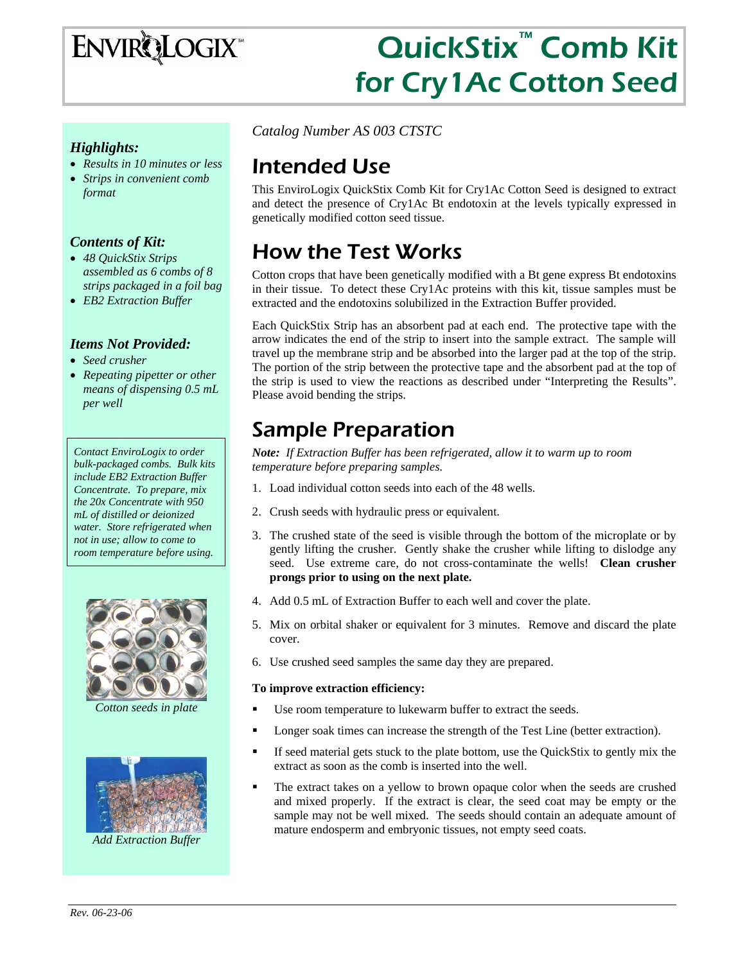# ENVIRQLOGIX

# QuickStix™ Comb Kit for Cry1Ac Cotton Seed

### *Highlights:*

- *Results in 10 minutes or less*
- *Strips in convenient comb format*

### *Contents of Kit:*

- *48 QuickStix Strips assembled as 6 combs of 8 strips packaged in a foil bag*
- *EB2 Extraction Buffer*

#### *Items Not Provided:*

- *Seed crusher*
- *Repeating pipetter or other means of dispensing 0.5 mL per well*

*Contact EnviroLogix to order bulk-packaged combs. Bulk kits include EB2 Extraction Buffer Concentrate. To prepare, mix the 20x Concentrate with 950 mL of distilled or deionized water. Store refrigerated when not in use; allow to come to room temperature before using.* 



*Cotton seeds in plate* 



*Catalog Number AS 003 CTSTC* 

### Intended Use

This EnviroLogix QuickStix Comb Kit for Cry1Ac Cotton Seed is designed to extract and detect the presence of Cry1Ac Bt endotoxin at the levels typically expressed in genetically modified cotton seed tissue.

# How the Test Works

Cotton crops that have been genetically modified with a Bt gene express Bt endotoxins in their tissue. To detect these Cry1Ac proteins with this kit, tissue samples must be extracted and the endotoxins solubilized in the Extraction Buffer provided.

Each QuickStix Strip has an absorbent pad at each end. The protective tape with the arrow indicates the end of the strip to insert into the sample extract. The sample will travel up the membrane strip and be absorbed into the larger pad at the top of the strip. The portion of the strip between the protective tape and the absorbent pad at the top of the strip is used to view the reactions as described under "Interpreting the Results". Please avoid bending the strips.

### Sample Preparation

*Note: If Extraction Buffer has been refrigerated, allow it to warm up to room temperature before preparing samples.* 

- 1. Load individual cotton seeds into each of the 48 wells.
- 2. Crush seeds with hydraulic press or equivalent.
- 3. The crushed state of the seed is visible through the bottom of the microplate or by gently lifting the crusher. Gently shake the crusher while lifting to dislodge any seed. Use extreme care, do not cross-contaminate the wells! **Clean crusher prongs prior to using on the next plate.**
- 4. Add 0.5 mL of Extraction Buffer to each well and cover the plate.
- 5. Mix on orbital shaker or equivalent for 3 minutes. Remove and discard the plate cover.
- 6. Use crushed seed samples the same day they are prepared.

#### **To improve extraction efficiency:**

- Use room temperature to lukewarm buffer to extract the seeds.
- Longer soak times can increase the strength of the Test Line (better extraction).
- If seed material gets stuck to the plate bottom, use the QuickStix to gently mix the extract as soon as the comb is inserted into the well.
- The extract takes on a yellow to brown opaque color when the seeds are crushed and mixed properly. If the extract is clear, the seed coat may be empty or the sample may not be well mixed. The seeds should contain an adequate amount of mature endosperm and embryonic tissues, not empty seed coats.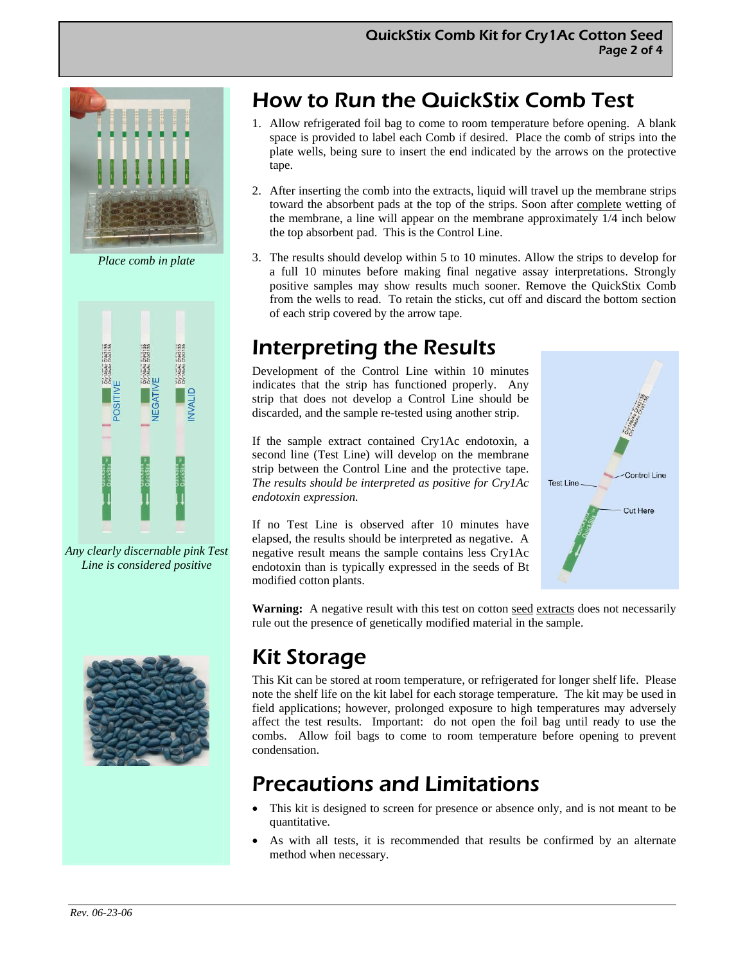

*Place comb in plate* 



*Any clearly discernable pink Test Line is considered positive* 



# How to Run the QuickStix Comb Test

- 1. Allow refrigerated foil bag to come to room temperature before opening. A blank space is provided to label each Comb if desired. Place the comb of strips into the plate wells, being sure to insert the end indicated by the arrows on the protective tape.
- 2. After inserting the comb into the extracts, liquid will travel up the membrane strips toward the absorbent pads at the top of the strips. Soon after complete wetting of the membrane, a line will appear on the membrane approximately 1/4 inch below the top absorbent pad. This is the Control Line.
- 3. The results should develop within 5 to 10 minutes. Allow the strips to develop for a full 10 minutes before making final negative assay interpretations. Strongly positive samples may show results much sooner. Remove the QuickStix Comb from the wells to read. To retain the sticks, cut off and discard the bottom section of each strip covered by the arrow tape.

### Interpreting the Results

Development of the Control Line within 10 minutes indicates that the strip has functioned properly. Any strip that does not develop a Control Line should be discarded, and the sample re-tested using another strip.

If the sample extract contained Cry1Ac endotoxin, a second line (Test Line) will develop on the membrane strip between the Control Line and the protective tape. *The results should be interpreted as positive for Cry1Ac endotoxin expression.* 

If no Test Line is observed after 10 minutes have elapsed, the results should be interpreted as negative. A negative result means the sample contains less Cry1Ac endotoxin than is typically expressed in the seeds of Bt modified cotton plants.



Warning: A negative result with this test on cotton seed extracts does not necessarily rule out the presence of genetically modified material in the sample.

# Kit Storage

This Kit can be stored at room temperature, or refrigerated for longer shelf life. Please note the shelf life on the kit label for each storage temperature. The kit may be used in field applications; however, prolonged exposure to high temperatures may adversely affect the test results. Important: do not open the foil bag until ready to use the combs. Allow foil bags to come to room temperature before opening to prevent condensation.

# Precautions and Limitations

- This kit is designed to screen for presence or absence only, and is not meant to be quantitative.
- As with all tests, it is recommended that results be confirmed by an alternate method when necessary.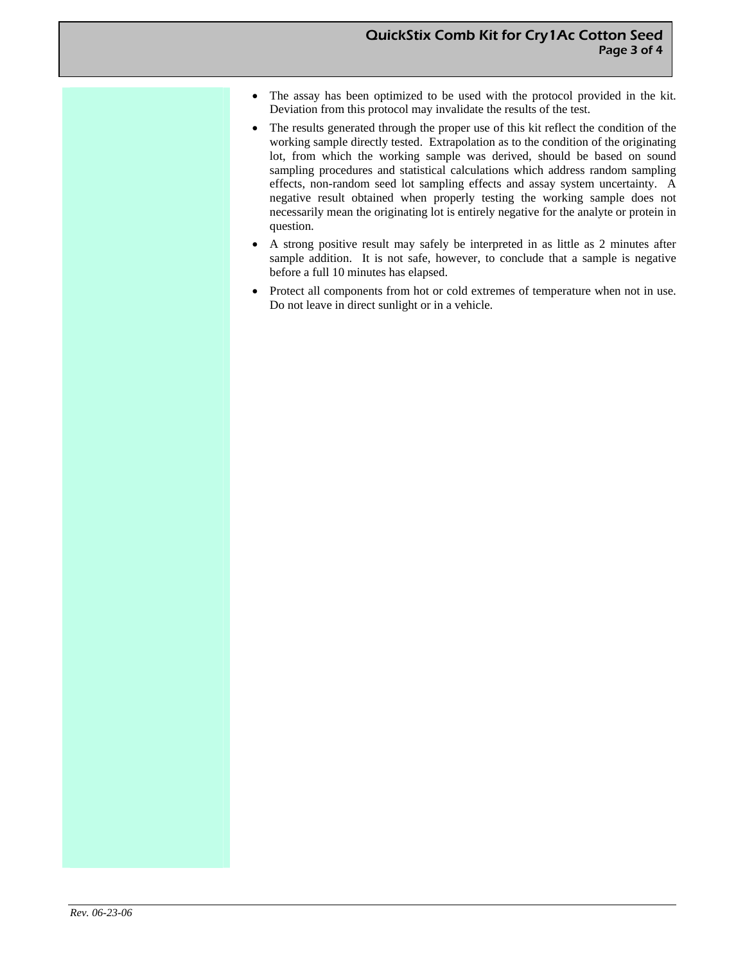- The assay has been optimized to be used with the protocol provided in the kit. Deviation from this protocol may invalidate the results of the test.
- The results generated through the proper use of this kit reflect the condition of the working sample directly tested. Extrapolation as to the condition of the originating lot, from which the working sample was derived, should be based on sound sampling procedures and statistical calculations which address random sampling effects, non-random seed lot sampling effects and assay system uncertainty. A negative result obtained when properly testing the working sample does not necessarily mean the originating lot is entirely negative for the analyte or protein in question.
- A strong positive result may safely be interpreted in as little as 2 minutes after sample addition. It is not safe, however, to conclude that a sample is negative before a full 10 minutes has elapsed.
- Protect all components from hot or cold extremes of temperature when not in use. Do not leave in direct sunlight or in a vehicle.